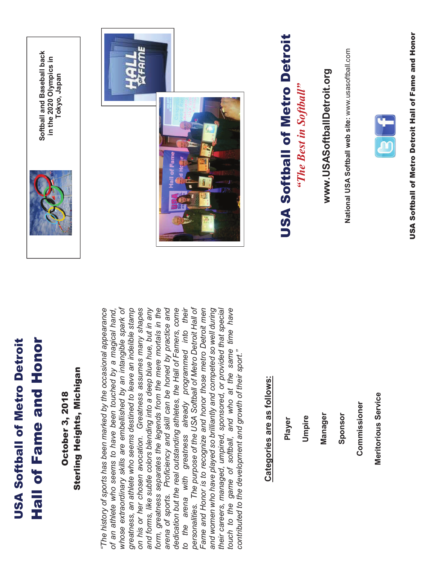# **Hall of Fame and Honor USA Softball of Metro Detroit**

Softball and Baseball back<br>in the 2020 Olympics in

Tokyo, Japan

# Sterling Heights, Michigan **Dctober 3, 2018**

whose extraordinary skills are embellished by an intangible spark of on his or her chosen avocation. Greatness assumes many shapes form, greatness separates the legends from the mere mortals in the dedication but the real outstanding athletes, the Hall of Famers, come personalities. The purpose of the USA Softball of Metro Detroit Hall of touch to the game of softball, and who at the same time have The history of sports has been marked by the occasional appearance greatness, an athlete who seems destined to leave an indelible stamp and forms, like subtle colors blending into a deep blue hue, but in any arena of sports. Proficiency and skill can be honed by practice and and women who have played so brilliantly and competed so well during their careers, managed, umpired, sponsored, or provided that special already programmed into their Fame and Honor is to recognize and honor those metro Detroit men of an athlete who seems to have been touched by a magical hand, contributed to the development and growth of their sport." to the arena with greatness

# **Categories are as follows:**

Player

Umpire

Manager

Sponsor

Meritorious Service

Commissioner

www.USASoftballDetroit.org

National USA Softball web site: www.usasoftball.com

"The Best in Softball"

# **USA Softball of Metro Detroit**









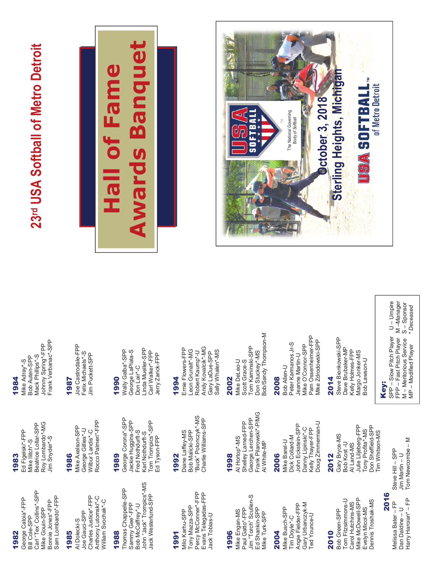1982

Carl "Tex' Collins"-SPP Sam Lombardo\*-FPP George Caloia\*-FPP Bonnie Jones\*-FPP Mike Gouin-SPP Bill Cole-SPP

### 1985

Charles Justice\*-FPP Anthony Lutomski\*-C **Nilliam Svochak\*-C** Joe Gauci-SPP Al Dolecki-S

### 1988

John "Jack" Trompics\*-MS Thomas Chappelle-SPP lack Westerlund-SPP Sammy Gee\*-FPP Bob McCaffrey\*-U

## 1991

Percy McConner\*-FPP Evans Telegadas-FPP Tony Mazza-SPP Viilo Karhu-SPP Jack Tobias-U

### 1996

Jim "Torch" Scullen-S Paul Gatto\*-FPP Ed Shankin-SPP Mike Engan-MS Vilke Turk-SPP

### 2004

Gary Urbanczyk-M Angie Fielder-FPP Mike Busch-SPP Ted Younce-U Tim Doyle\*-C

# 2010

Tom Fitzsimmons-U Mike McDowell-SPP Dennis Troshak-MS Carol Hutchins-MS Evelyn Micol-MS Bob Green-SPP

# 1983

Beatrice Lollar-SPP Roy Lombardo\*-MG Ed Figelski\*-FPP Jim Snyder\*-S Mike Ilitch\*-S

### 1986

Rocco Palmeri\*-FPP Mike Axelson-SPP George Gillies\*-U Wilbur Landis\*-C

# 1989

George Corona\*-SPP Jackie Huggins-SPP Tom Trompics\*-SPP Fred Nothdurft-S Karl Nothdurft-S Ed Tyson-FPP

# 1992

"Buck" Polonczyk\*-MS Charlie Williams-SPP Diane Laffey-MS Bob Malicki-SPP

# 1998

Frank Pilarowski\*-P/MG George Lerchen-SPP Shelley Larned-FPP Al Hortop\*-MS Al White-MP

# 2006

Doug Zimmerman-U John Eckstein-SPP Danny Lipinski\*-C Kelly Thayer-FPP Dick Collard-M Mike Barel-U

### Gary Bryce-MS 2012

Don Sheffield-SPP Julie Liljeberg-FPP Tony Profita\*-MS im Whitson-MS Bob Kost-U Al Land-MS

# Steve Hill - SPP Jim Martin - U

2016

Tom Newcombe - M Harry Haroian\* - FP Melissa Bater-FP Dan Daldine - U

# 1984

Johnny Spring\*-FPP<br>Frank Verbanac\*-SPP Mack Phillips\*-S Bob Auten-SPP Mike Adray\*-S

## 1987

Joe Castrodale-FPP Felix Michaels\*-S Jim Puckett-SPP

# 1990

Linda Mueller-SPP Wally Galba\*-SPP George LaPlata-S Carl Walker\*-FPP Jerry Zarick-FPP Don Lair\*-C

# 1994

Andy Kovalcik\*-MG Ernie Flowers-FPP Leon Grunalt\*-MG Sally Whalen\*-MS Robert Kaump\*-U Gary LaDue-SPP

# 2002

Bob/Sandy Thompson-M Tom Kaminski-SPP Don Stuckey\*-MS Mike DeLeo-U Scott Grace-S

# 2008

Pam Ossenheimer-FPP Mike Zdrodowski-SPP Peter Karmanos Jr-S Mike O'Connor-SPP **Jeanne Martin-U** Bob Allen-U

# 2014

Steve Bienkowski-SPP Dave Brubaker-MP Kelly Holmes-FPP Margo Jonker-MS Bob Lawson-U

# Key:

SPP - Slow Pitch Player U - Umpire FPP - Fast Pitch Player M -Manager  $S -$ Sponsor \* Deceased M – Meritorious Service<br>MP – Modified Player

# 23rd USA Softball of Metro Detroit



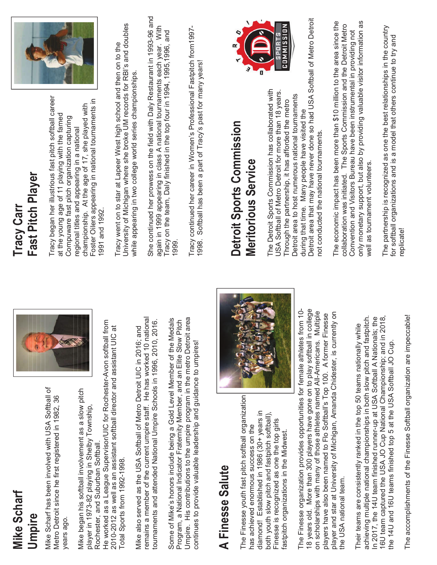# **Mike Scharf** Umpire

Vilke Scharf has been involved with USA Softball of Metro Detroit since he first registered in 1982, 36 ears ago. Mike began his softball involvement as a slow pitch blayer in 1973-82 playing in Shelby Township, Rochester, and Suburban Softball.

He worked as a League Supervisor/UIC for Rochester-Avon softball from 2010-2012 as well as an assistant softball director and assistant UIC at Total Sports from 1992-1998.

emains a member of the current umpire staff. He has worked 10 national tournaments and attended National Umpire Schools in 1996, 2010, 2016. Mike also served as the USA Softball of Metro Detroit UIC in 2016; and

Umpire. His contributions to the umpire program in the metro Detroit area Some of Mike's honors include being a Gold Level Member of the Medals Program, a National Indicator Fraternity Member, and an Elite Slow Pitch continues to provide valuable leadership and guidance to umpires!

# A Finesse Salute

The Finesse youth fast pitch softball organization diamond! Established in 1986 (30+ years in both youth slow pitch and fastpitch softball), Finesse is recognized as one the top girls has achieved enormous success on the fastpitch organizations in the Midwest. The Finesse organization provides opportunities for female athletes from 10-18 years old. More than 300 players have gone on to play softball in college on scholarships with many of those athletes named All-Americans. Multiple player and star at University of Michigan, Amanda Chidester, is currently on players have also been named to Flo Softball's Top 100. A former Finesse the USA national team.

achieving multiple national championships in both slow pitch and fastpitch. In 2017, the 14U team finished runner-up at USA Softball A Nationals; the 16U team captured the USA JO Cup National Championship; and in 2018, Their teams are consistently ranked in the top 50 teams nationally while he 14U and 16U teams finished top 5 at the USA Softball JO Cup The accomplishments of the Finesse Softball organization are impeccable!

# Fast Pitch Player **Tracy Carr**

Tracy began her illustrious fast pitch softball career Foster Oilers appearing in national tournaments in championship. At the age of 17, she played with at the young age of 11 playing with the famed Compuware fast pitch organization capturing regional titles and appearing in a national 1991 and 1992.



University of Michigan where she broke UM records for RBI's and doubles Tracy went on to star at Lapeer West high school and then on to the while appearing in two college world series championships. She continued her prowess on the field with Daly Restaurant in 1993-96 and again in 1999 appearing in class A national tournaments each year. With<br>Tracy on the team, Daly finished in the top four in 1994, 1995,1996, and 1999.

Tracy continued her career in Women's Professional Fastpitch from1997-1998. Softball has been a part of Tracy's past for many years!

# Detroit Sports Commission **Meritorious Service**



only monetary support, but also by providing valuable visitor information as The economic impact has been more than \$10 million to the area since the collaboration was initiated. The Sports Commission and the Detroit Metro Convention and Visitors Bureau have been instrumental in providing not well as tournament volunteers.

The partnership is recognized as one the best relationships in the country for softball organizations and is a model that others continue to try and replicate!